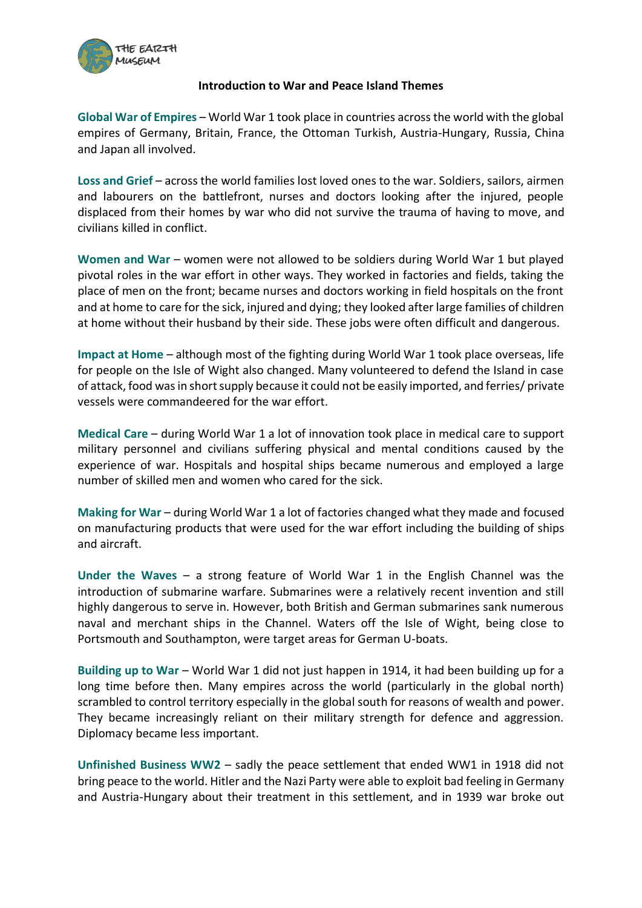

## **Introduction to War and Peace Island Themes**

**Global War of Empires** – World War 1 took place in countries across the world with the global empires of Germany, Britain, France, the Ottoman Turkish, Austria-Hungary, Russia, China and Japan all involved.

**Loss and Grief** – across the world families lost loved ones to the war. Soldiers, sailors, airmen and labourers on the battlefront, nurses and doctors looking after the injured, people displaced from their homes by war who did not survive the trauma of having to move, and civilians killed in conflict.

**Women and War** – women were not allowed to be soldiers during World War 1 but played pivotal roles in the war effort in other ways. They worked in factories and fields, taking the place of men on the front; became nurses and doctors working in field hospitals on the front and at home to care for the sick, injured and dying; they looked after large families of children at home without their husband by their side. These jobs were often difficult and dangerous.

**Impact at Home** – although most of the fighting during World War 1 took place overseas, life for people on the Isle of Wight also changed. Many volunteered to defend the Island in case of attack, food was in short supply because it could not be easily imported, and ferries/ private vessels were commandeered for the war effort.

**Medical Care** – during World War 1 a lot of innovation took place in medical care to support military personnel and civilians suffering physical and mental conditions caused by the experience of war. Hospitals and hospital ships became numerous and employed a large number of skilled men and women who cared for the sick.

**Making for War** – during World War 1 a lot of factories changed what they made and focused on manufacturing products that were used for the war effort including the building of ships and aircraft.

**Under the Waves** – a strong feature of World War 1 in the English Channel was the introduction of submarine warfare. Submarines were a relatively recent invention and still highly dangerous to serve in. However, both British and German submarines sank numerous naval and merchant ships in the Channel. Waters off the Isle of Wight, being close to Portsmouth and Southampton, were target areas for German U-boats.

**Building up to War** – World War 1 did not just happen in 1914, it had been building up for a long time before then. Many empires across the world (particularly in the global north) scrambled to control territory especially in the global south for reasons of wealth and power. They became increasingly reliant on their military strength for defence and aggression. Diplomacy became less important.

**Unfinished Business WW2** – sadly the peace settlement that ended WW1 in 1918 did not bring peace to the world. Hitler and the Nazi Party were able to exploit bad feeling in Germany and Austria-Hungary about their treatment in this settlement, and in 1939 war broke out